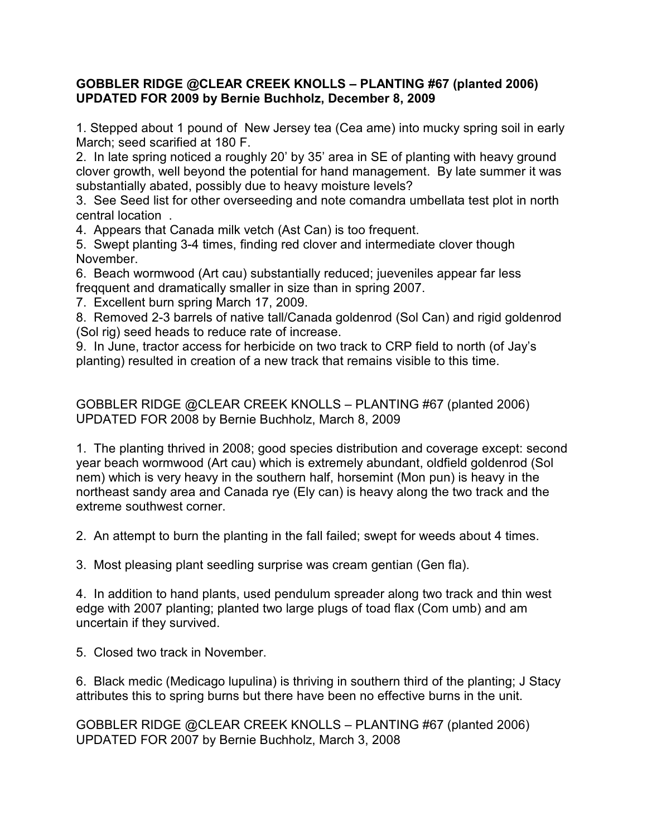# **GOBBLER RIDGE @CLEAR CREEK KNOLLS – PLANTING #67 (planted 2006) UPDATED FOR 2009 by Bernie Buchholz, December 8, 2009**

1. Stepped about 1 pound of New Jersey tea (Cea ame) into mucky spring soil in early March; seed scarified at 180 F.

2. In late spring noticed a roughly 20' by 35' area in SE of planting with heavy ground clover growth, well beyond the potential for hand management. By late summer it was substantially abated, possibly due to heavy moisture levels?

3. See Seed list for other overseeding and note comandra umbellata test plot in north central location .

4. Appears that Canada milk vetch (Ast Can) is too frequent.

5. Swept planting 3-4 times, finding red clover and intermediate clover though November.

6. Beach wormwood (Art cau) substantially reduced; jueveniles appear far less freqquent and dramatically smaller in size than in spring 2007.

7. Excellent burn spring March 17, 2009.

8. Removed 2-3 barrels of native tall/Canada goldenrod (Sol Can) and rigid goldenrod (Sol rig) seed heads to reduce rate of increase.

9. In June, tractor access for herbicide on two track to CRP field to north (of Jay's planting) resulted in creation of a new track that remains visible to this time.

GOBBLER RIDGE @CLEAR CREEK KNOLLS – PLANTING #67 (planted 2006) UPDATED FOR 2008 by Bernie Buchholz, March 8, 2009

1. The planting thrived in 2008; good species distribution and coverage except: second year beach wormwood (Art cau) which is extremely abundant, oldfield goldenrod (Sol nem) which is very heavy in the southern half, horsemint (Mon pun) is heavy in the northeast sandy area and Canada rye (Ely can) is heavy along the two track and the extreme southwest corner.

2. An attempt to burn the planting in the fall failed; swept for weeds about 4 times.

3. Most pleasing plant seedling surprise was cream gentian (Gen fla).

4. In addition to hand plants, used pendulum spreader along two track and thin west edge with 2007 planting; planted two large plugs of toad flax (Com umb) and am uncertain if they survived.

5. Closed two track in November.

6. Black medic (Medicago lupulina) is thriving in southern third of the planting; J Stacy attributes this to spring burns but there have been no effective burns in the unit.

GOBBLER RIDGE @CLEAR CREEK KNOLLS – PLANTING #67 (planted 2006) UPDATED FOR 2007 by Bernie Buchholz, March 3, 2008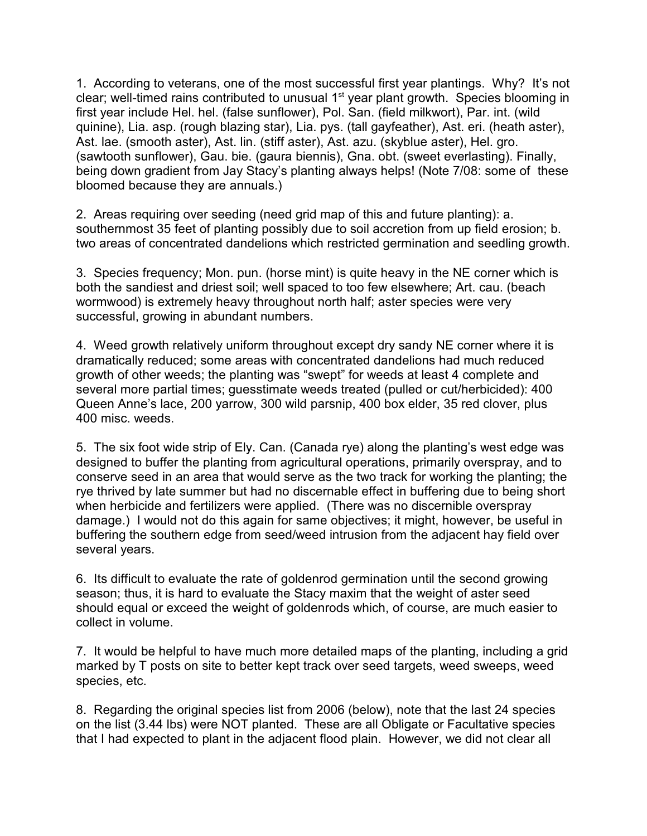1. According to veterans, one of the most successful first year plantings. Why? It's not clear; well-timed rains contributed to unusual  $1<sup>st</sup>$  year plant growth. Species blooming in first year include Hel. hel. (false sunflower), Pol. San. (field milkwort), Par. int. (wild quinine), Lia. asp. (rough blazing star), Lia. pys. (tall gayfeather), Ast. eri. (heath aster), Ast. lae. (smooth aster), Ast. lin. (stiff aster), Ast. azu. (skyblue aster), Hel. gro. (sawtooth sunflower), Gau. bie. (gaura biennis), Gna. obt. (sweet everlasting). Finally, being down gradient from Jay Stacy's planting always helps! (Note 7/08: some of these bloomed because they are annuals.)

2. Areas requiring over seeding (need grid map of this and future planting): a. southernmost 35 feet of planting possibly due to soil accretion from up field erosion; b. two areas of concentrated dandelions which restricted germination and seedling growth.

3. Species frequency; Mon. pun. (horse mint) is quite heavy in the NE corner which is both the sandiest and driest soil; well spaced to too few elsewhere; Art. cau. (beach wormwood) is extremely heavy throughout north half; aster species were very successful, growing in abundant numbers.

4. Weed growth relatively uniform throughout except dry sandy NE corner where it is dramatically reduced; some areas with concentrated dandelions had much reduced growth of other weeds; the planting was "swept" for weeds at least 4 complete and several more partial times; guesstimate weeds treated (pulled or cut/herbicided): 400 Queen Anne's lace, 200 yarrow, 300 wild parsnip, 400 box elder, 35 red clover, plus 400 misc. weeds.

5. The six foot wide strip of Ely. Can. (Canada rye) along the planting's west edge was designed to buffer the planting from agricultural operations, primarily overspray, and to conserve seed in an area that would serve as the two track for working the planting; the rye thrived by late summer but had no discernable effect in buffering due to being short when herbicide and fertilizers were applied. (There was no discernible overspray damage.) I would not do this again for same objectives; it might, however, be useful in buffering the southern edge from seed/weed intrusion from the adjacent hay field over several years.

6. Its difficult to evaluate the rate of goldenrod germination until the second growing season; thus, it is hard to evaluate the Stacy maxim that the weight of aster seed should equal or exceed the weight of goldenrods which, of course, are much easier to collect in volume.

7. It would be helpful to have much more detailed maps of the planting, including a grid marked by T posts on site to better kept track over seed targets, weed sweeps, weed species, etc.

8. Regarding the original species list from 2006 (below), note that the last 24 species on the list (3.44 lbs) were NOT planted. These are all Obligate or Facultative species that I had expected to plant in the adjacent flood plain. However, we did not clear all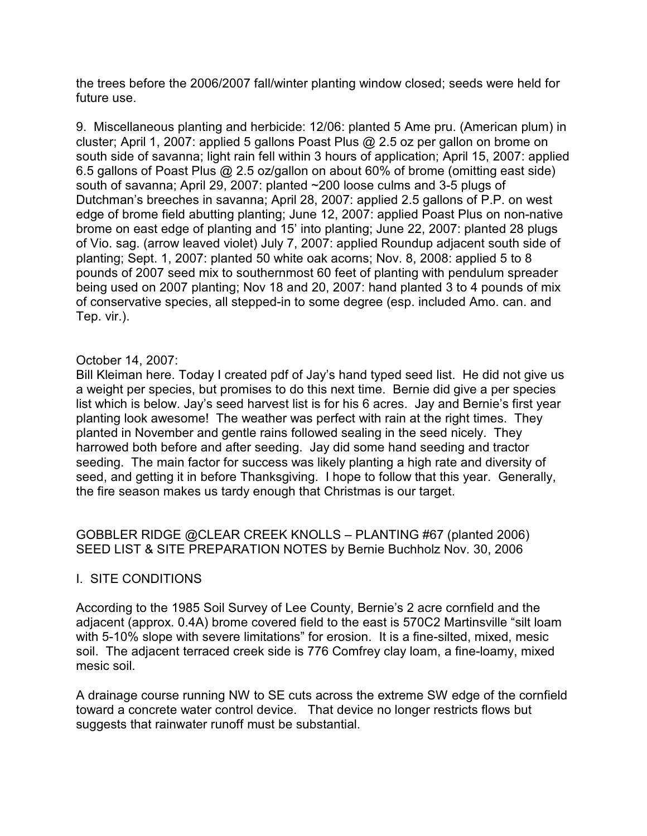the trees before the 2006/2007 fall/winter planting window closed; seeds were held for future use.

9. Miscellaneous planting and herbicide: 12/06: planted 5 Ame pru. (American plum) in cluster; April 1, 2007: applied 5 gallons Poast Plus @ 2.5 oz per gallon on brome on south side of savanna; light rain fell within 3 hours of application; April 15, 2007: applied 6.5 gallons of Poast Plus @ 2.5 oz/gallon on about 60% of brome (omitting east side) south of savanna; April 29, 2007: planted ~200 loose culms and 3-5 plugs of Dutchman's breeches in savanna; April 28, 2007: applied 2.5 gallons of P.P. on west edge of brome field abutting planting; June 12, 2007: applied Poast Plus on non-native brome on east edge of planting and 15' into planting; June 22, 2007: planted 28 plugs of Vio. sag. (arrow leaved violet) July 7, 2007: applied Roundup adjacent south side of planting; Sept. 1, 2007: planted 50 white oak acorns; Nov. 8, 2008: applied 5 to 8 pounds of 2007 seed mix to southernmost 60 feet of planting with pendulum spreader being used on 2007 planting; Nov 18 and 20, 2007: hand planted 3 to 4 pounds of mix of conservative species, all stepped-in to some degree (esp. included Amo. can. and Tep. vir.).

### October 14, 2007:

Bill Kleiman here. Today I created pdf of Jay's hand typed seed list. He did not give us a weight per species, but promises to do this next time. Bernie did give a per species list which is below. Jay's seed harvest list is for his 6 acres. Jay and Bernie's first year planting look awesome! The weather was perfect with rain at the right times. They planted in November and gentle rains followed sealing in the seed nicely. They harrowed both before and after seeding. Jay did some hand seeding and tractor seeding. The main factor for success was likely planting a high rate and diversity of seed, and getting it in before Thanksgiving. I hope to follow that this year. Generally, the fire season makes us tardy enough that Christmas is our target.

GOBBLER RIDGE @CLEAR CREEK KNOLLS – PLANTING #67 (planted 2006) SEED LIST & SITE PREPARATION NOTES by Bernie Buchholz Nov. 30, 2006

# I. SITE CONDITIONS

According to the 1985 Soil Survey of Lee County, Bernie's 2 acre cornfield and the adjacent (approx. 0.4A) brome covered field to the east is 570C2 Martinsville "silt loam with 5-10% slope with severe limitations" for erosion. It is a fine-silted, mixed, mesic soil. The adjacent terraced creek side is 776 Comfrey clay loam, a fine-loamy, mixed mesic soil.

A drainage course running NW to SE cuts across the extreme SW edge of the cornfield toward a concrete water control device. That device no longer restricts flows but suggests that rainwater runoff must be substantial.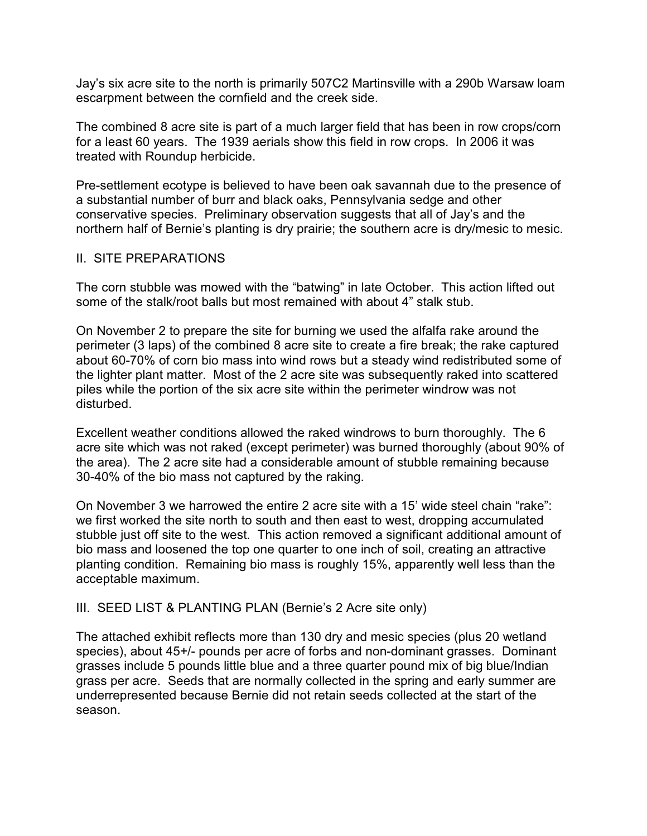Jay's six acre site to the north is primarily 507C2 Martinsville with a 290b Warsaw loam escarpment between the cornfield and the creek side.

The combined 8 acre site is part of a much larger field that has been in row crops/corn for a least 60 years. The 1939 aerials show this field in row crops. In 2006 it was treated with Roundup herbicide.

Pre-settlement ecotype is believed to have been oak savannah due to the presence of a substantial number of burr and black oaks, Pennsylvania sedge and other conservative species. Preliminary observation suggests that all of Jay's and the northern half of Bernie's planting is dry prairie; the southern acre is dry/mesic to mesic.

### II. SITE PREPARATIONS

The corn stubble was mowed with the "batwing" in late October. This action lifted out some of the stalk/root balls but most remained with about 4" stalk stub.

On November 2 to prepare the site for burning we used the alfalfa rake around the perimeter (3 laps) of the combined 8 acre site to create a fire break; the rake captured about 60-70% of corn bio mass into wind rows but a steady wind redistributed some of the lighter plant matter. Most of the 2 acre site was subsequently raked into scattered piles while the portion of the six acre site within the perimeter windrow was not disturbed.

Excellent weather conditions allowed the raked windrows to burn thoroughly. The 6 acre site which was not raked (except perimeter) was burned thoroughly (about 90% of the area). The 2 acre site had a considerable amount of stubble remaining because 30-40% of the bio mass not captured by the raking.

On November 3 we harrowed the entire 2 acre site with a 15' wide steel chain "rake": we first worked the site north to south and then east to west, dropping accumulated stubble just off site to the west. This action removed a significant additional amount of bio mass and loosened the top one quarter to one inch of soil, creating an attractive planting condition. Remaining bio mass is roughly 15%, apparently well less than the acceptable maximum.

# III. SEED LIST & PLANTING PLAN (Bernie's 2 Acre site only)

The attached exhibit reflects more than 130 dry and mesic species (plus 20 wetland species), about 45+/- pounds per acre of forbs and non-dominant grasses. Dominant grasses include 5 pounds little blue and a three quarter pound mix of big blue/Indian grass per acre. Seeds that are normally collected in the spring and early summer are underrepresented because Bernie did not retain seeds collected at the start of the season.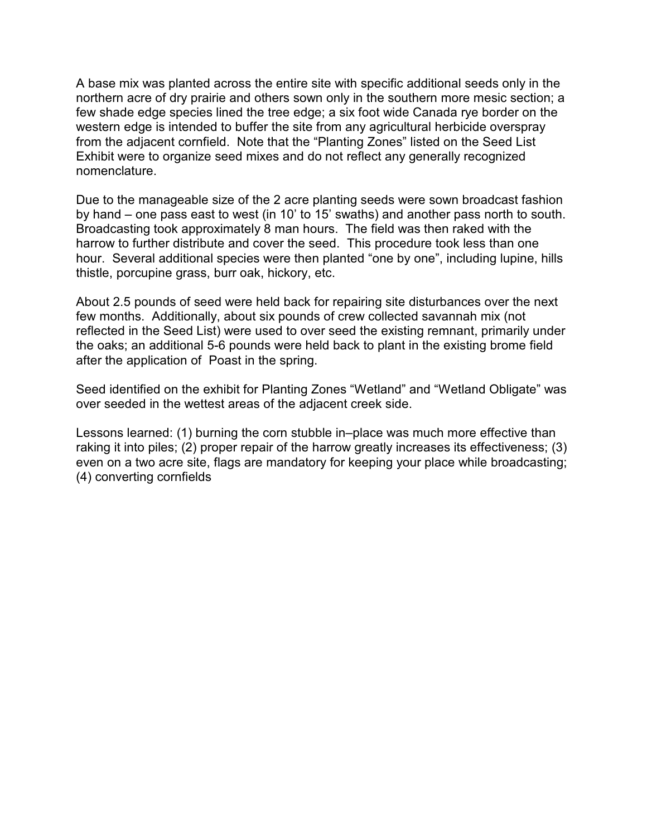A base mix was planted across the entire site with specific additional seeds only in the northern acre of dry prairie and others sown only in the southern more mesic section; a few shade edge species lined the tree edge; a six foot wide Canada rye border on the western edge is intended to buffer the site from any agricultural herbicide overspray from the adjacent cornfield. Note that the "Planting Zones" listed on the Seed List Exhibit were to organize seed mixes and do not reflect any generally recognized nomenclature.

Due to the manageable size of the 2 acre planting seeds were sown broadcast fashion by hand – one pass east to west (in 10' to 15' swaths) and another pass north to south. Broadcasting took approximately 8 man hours. The field was then raked with the harrow to further distribute and cover the seed. This procedure took less than one hour. Several additional species were then planted "one by one", including lupine, hills thistle, porcupine grass, burr oak, hickory, etc.

About 2.5 pounds of seed were held back for repairing site disturbances over the next few months. Additionally, about six pounds of crew collected savannah mix (not reflected in the Seed List) were used to over seed the existing remnant, primarily under the oaks; an additional 5-6 pounds were held back to plant in the existing brome field after the application of Poast in the spring.

Seed identified on the exhibit for Planting Zones "Wetland" and "Wetland Obligate" was over seeded in the wettest areas of the adjacent creek side.

Lessons learned: (1) burning the corn stubble in–place was much more effective than raking it into piles; (2) proper repair of the harrow greatly increases its effectiveness; (3) even on a two acre site, flags are mandatory for keeping your place while broadcasting; (4) converting cornfields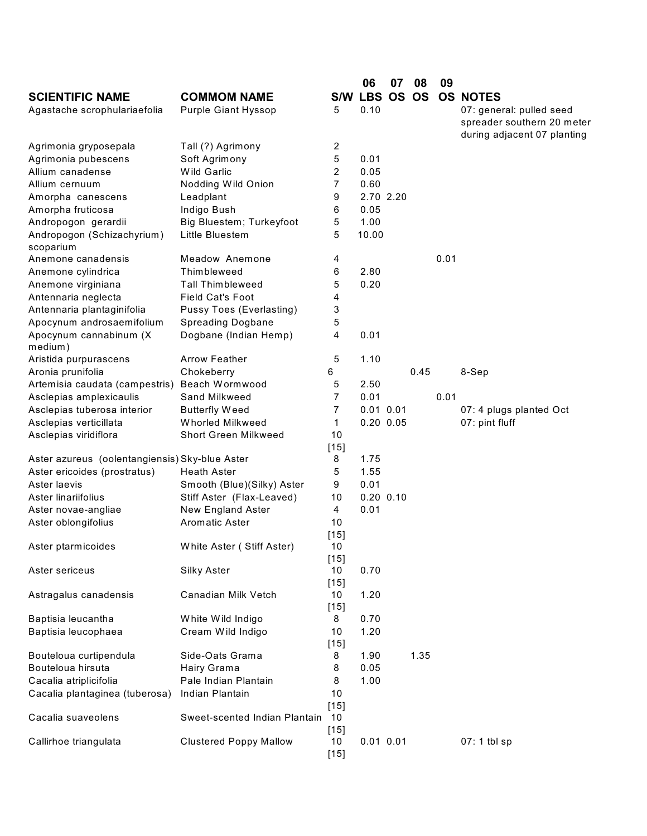|                                                |                                 |              | 06            | 07 | 08   | 09   |                             |
|------------------------------------------------|---------------------------------|--------------|---------------|----|------|------|-----------------------------|
| <b>SCIENTIFIC NAME</b>                         | <b>COMMOM NAME</b>              |              | S/W LBS OS OS |    |      |      | <b>OS NOTES</b>             |
| Agastache scrophulariaefolia                   | Purple Giant Hyssop             | 5            | 0.10          |    |      |      | 07: general: pulled seed    |
|                                                |                                 |              |               |    |      |      | spreader southern 20 meter  |
|                                                |                                 |              |               |    |      |      | during adjacent 07 planting |
| Agrimonia gryposepala                          | Tall (?) Agrimony               | 2            |               |    |      |      |                             |
| Agrimonia pubescens                            | Soft Agrimony                   | 5            | 0.01          |    |      |      |                             |
| Allium canadense                               | Wild Garlic                     | 2            | 0.05          |    |      |      |                             |
| Allium cernuum                                 | Nodding Wild Onion              | 7            | 0.60          |    |      |      |                             |
| Amorpha canescens                              | Leadplant                       | 9            | 2.70 2.20     |    |      |      |                             |
| Amorpha fruticosa                              | Indigo Bush                     | 6            | 0.05          |    |      |      |                             |
| Andropogon gerardii                            | Big Bluestem; Turkeyfoot        | 5            | 1.00          |    |      |      |                             |
| Andropogon (Schizachyrium)<br>scoparium        | Little Bluestem                 | 5            | 10.00         |    |      |      |                             |
| Anemone canadensis                             | Meadow Anemone                  | 4            |               |    |      | 0.01 |                             |
| Anemone cylindrica                             | Thimbleweed                     | 6            | 2.80          |    |      |      |                             |
| Anemone virginiana                             | <b>Tall Thimbleweed</b>         | 5            | 0.20          |    |      |      |                             |
| Antennaria neglecta                            | <b>Field Cat's Foot</b>         | 4            |               |    |      |      |                             |
| Antennaria plantaginifolia                     | <b>Pussy Toes (Everlasting)</b> | 3            |               |    |      |      |                             |
| Apocynum androsaemifolium                      | <b>Spreading Dogbane</b>        | 5            |               |    |      |      |                             |
| Apocynum cannabinum (X                         | Dogbane (Indian Hemp)           | 4            | 0.01          |    |      |      |                             |
| medium)                                        |                                 |              |               |    |      |      |                             |
| Aristida purpurascens                          | <b>Arrow Feather</b>            | 5            | 1.10          |    |      |      |                             |
| Aronia prunifolia                              | Chokeberry                      | 6            |               |    | 0.45 |      | 8-Sep                       |
| Artemisia caudata (campestris)                 | Beach Wormwood                  | 5            | 2.50          |    |      |      |                             |
| Asclepias amplexicaulis                        | Sand Milkweed                   | 7            | 0.01          |    |      | 0.01 |                             |
| Asclepias tuberosa interior                    | <b>Butterfly Weed</b>           | 7            | $0.01$ $0.01$ |    |      |      | 07: 4 plugs planted Oct     |
| Asclepias verticillata                         | Whorled Milkweed                | 1            | $0.20$ $0.05$ |    |      |      | 07: pint fluff              |
| Asclepias viridiflora                          | <b>Short Green Milkweed</b>     | 10           |               |    |      |      |                             |
|                                                |                                 | $[15]$       |               |    |      |      |                             |
| Aster azureus (oolentangiensis) Sky-blue Aster |                                 | 8            | 1.75          |    |      |      |                             |
| Aster ericoides (prostratus)                   | <b>Heath Aster</b>              | 5            | 1.55          |    |      |      |                             |
| Aster laevis                                   | Smooth (Blue)(Silky) Aster      | 9            | 0.01          |    |      |      |                             |
| Aster linariifolius                            | Stiff Aster (Flax-Leaved)       | 10           | $0.20$ $0.10$ |    |      |      |                             |
| Aster novae-angliae                            | New England Aster               | 4            | 0.01          |    |      |      |                             |
| Aster oblongifolius                            | Aromatic Aster                  | 10           |               |    |      |      |                             |
|                                                |                                 | $[15]$       |               |    |      |      |                             |
| Aster ptarmicoides                             | White Aster (Stiff Aster)       | 10           |               |    |      |      |                             |
|                                                |                                 | $[15]$       |               |    |      |      |                             |
| Aster sericeus                                 | Silky Aster                     | 10           | 0.70          |    |      |      |                             |
|                                                |                                 | $[15]$       |               |    |      |      |                             |
| Astragalus canadensis                          | Canadian Milk Vetch             | 10           | 1.20          |    |      |      |                             |
|                                                |                                 | $[15]$       |               |    |      |      |                             |
| Baptisia leucantha                             | White Wild Indigo               | 8            | 0.70          |    |      |      |                             |
| Baptisia leucophaea                            | Cream Wild Indigo               | 10<br>$[15]$ | 1.20          |    |      |      |                             |
| Bouteloua curtipendula                         | Side-Oats Grama                 | 8            | 1.90          |    | 1.35 |      |                             |
| Bouteloua hirsuta                              | Hairy Grama                     | 8            | 0.05          |    |      |      |                             |
| Cacalia atriplicifolia                         | Pale Indian Plantain            | 8            | 1.00          |    |      |      |                             |
| Cacalia plantaginea (tuberosa)                 | Indian Plantain                 | 10           |               |    |      |      |                             |
|                                                |                                 | $[15]$       |               |    |      |      |                             |
| Cacalia suaveolens                             | Sweet-scented Indian Plantain   | 10           |               |    |      |      |                             |
|                                                |                                 | $[15]$       |               |    |      |      |                             |
| Callirhoe triangulata                          | <b>Clustered Poppy Mallow</b>   | 10           | $0.01$ $0.01$ |    |      |      | 07: 1 tbl sp                |
|                                                |                                 | $[15]$       |               |    |      |      |                             |
|                                                |                                 |              |               |    |      |      |                             |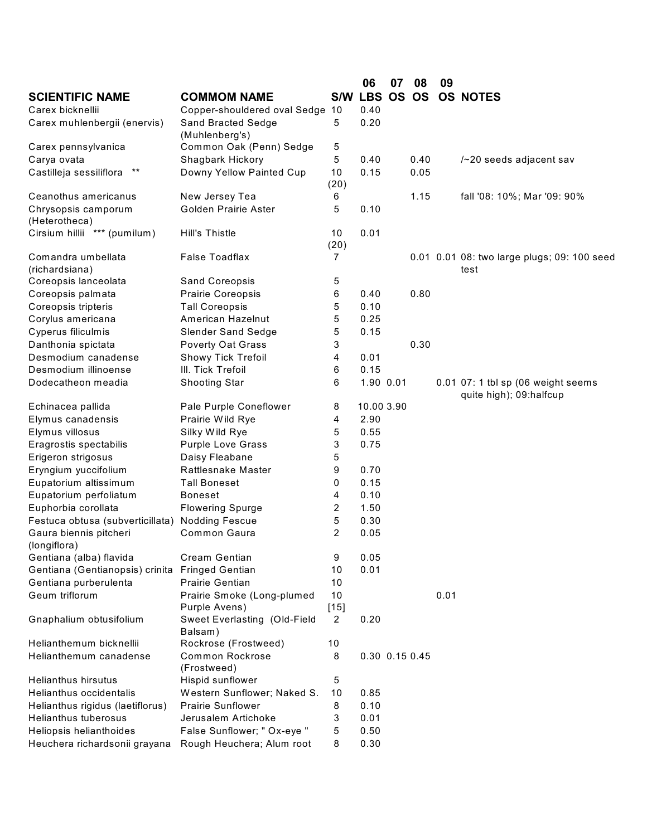|                                  |                                 |                | 06             | 07 | 08   | 09   |                                             |
|----------------------------------|---------------------------------|----------------|----------------|----|------|------|---------------------------------------------|
| <b>SCIENTIFIC NAME</b>           | <b>COMMOM NAME</b>              |                | S/W LBS OS OS  |    |      |      | <b>OS NOTES</b>                             |
| Carex bicknellii                 | Copper-shouldered oval Sedge    | 10             | 0.40           |    |      |      |                                             |
| Carex muhlenbergii (enervis)     | Sand Bracted Sedge              | 5              | 0.20           |    |      |      |                                             |
|                                  | (Muhlenberg's)                  |                |                |    |      |      |                                             |
| Carex pennsylvanica              | Common Oak (Penn) Sedge         | 5              |                |    |      |      |                                             |
| Carya ovata                      | Shagbark Hickory                | 5              | 0.40           |    | 0.40 |      | /~20 seeds adjacent sav                     |
| Castilleja sessiliflora **       | Downy Yellow Painted Cup        | 10             | 0.15           |    | 0.05 |      |                                             |
|                                  |                                 | (20)           |                |    |      |      |                                             |
| Ceanothus americanus             | New Jersey Tea                  | 6              |                |    | 1.15 |      | fall '08: 10%; Mar '09: 90%                 |
| Chrysopsis camporum              | Golden Prairie Aster            | 5              | 0.10           |    |      |      |                                             |
| (Heterotheca)                    |                                 |                |                |    |      |      |                                             |
| Cirsium hillii *** (pumilum)     | <b>Hill's Thistle</b>           | 10             | 0.01           |    |      |      |                                             |
|                                  |                                 | (20)           |                |    |      |      |                                             |
| Comandra umbellata               | <b>False Toadflax</b>           | 7              |                |    |      |      | 0.01 0.01 08: two large plugs; 09: 100 seed |
| (richardsiana)                   |                                 |                |                |    |      |      | test                                        |
| Coreopsis lanceolata             | Sand Coreopsis                  | 5              |                |    |      |      |                                             |
| Coreopsis palmata                | Prairie Coreopsis               | 6              | 0.40           |    | 0.80 |      |                                             |
| Coreopsis tripteris              | <b>Tall Coreopsis</b>           | 5              | 0.10           |    |      |      |                                             |
| Corylus americana                | American Hazelnut               | 5              | 0.25           |    |      |      |                                             |
| Cyperus filiculmis               | <b>Slender Sand Sedge</b>       | 5              | 0.15           |    |      |      |                                             |
| Danthonia spictata               | Poverty Oat Grass               | 3              |                |    | 0.30 |      |                                             |
| Desmodium canadense              | <b>Showy Tick Trefoil</b>       | 4              | 0.01           |    |      |      |                                             |
| Desmodium illinoense             | III. Tick Trefoil               | 6              | 0.15           |    |      |      |                                             |
| Dodecatheon meadia               | <b>Shooting Star</b>            | 6              | 1.90 0.01      |    |      |      | 0.01 07: 1 tbl sp (06 weight seems          |
|                                  |                                 |                |                |    |      |      | quite high); 09:halfcup                     |
| Echinacea pallida                | Pale Purple Coneflower          | 8              | 10.00 3.90     |    |      |      |                                             |
| Elymus canadensis                | Prairie Wild Rye                | 4              | 2.90           |    |      |      |                                             |
| Elymus villosus                  | Silky Wild Rye                  | 5              | 0.55           |    |      |      |                                             |
| Eragrostis spectabilis           | <b>Purple Love Grass</b>        | 3              | 0.75           |    |      |      |                                             |
| Erigeron strigosus               | Daisy Fleabane                  | 5              |                |    |      |      |                                             |
| Eryngium yuccifolium             | Rattlesnake Master              | 9              | 0.70           |    |      |      |                                             |
| Eupatorium altissimum            | <b>Tall Boneset</b>             | 0              | 0.15           |    |      |      |                                             |
| Eupatorium perfoliatum           | <b>Boneset</b>                  | 4              | 0.10           |    |      |      |                                             |
| Euphorbia corollata              | <b>Flowering Spurge</b>         | 2              | 1.50           |    |      |      |                                             |
| Festuca obtusa (subverticillata) | <b>Nodding Fescue</b>           | 5              | 0.30           |    |      |      |                                             |
| Gaura biennis pitcheri           | Common Gaura                    | $\overline{2}$ | 0.05           |    |      |      |                                             |
| (longiflora)                     |                                 |                |                |    |      |      |                                             |
| Gentiana (alba) flavida          | Cream Gentian                   | 9              | 0.05           |    |      |      |                                             |
| Gentiana (Gentianopsis) crinita  | <b>Fringed Gentian</b>          | 10             | 0.01           |    |      |      |                                             |
| Gentiana purberulenta            | Prairie Gentian                 | 10             |                |    |      |      |                                             |
| Geum triflorum                   | Prairie Smoke (Long-plumed      | 10             |                |    |      | 0.01 |                                             |
|                                  | Purple Avens)                   | $[15]$         |                |    |      |      |                                             |
| Gnaphalium obtusifolium          | Sweet Everlasting (Old-Field    | $\overline{2}$ | 0.20           |    |      |      |                                             |
| Helianthemum bicknellii          | Balsam)<br>Rockrose (Frostweed) | 10             |                |    |      |      |                                             |
| Helianthemum canadense           | Common Rockrose                 | 8              | 0.30 0.15 0.45 |    |      |      |                                             |
|                                  | (Frostweed)                     |                |                |    |      |      |                                             |
| <b>Helianthus hirsutus</b>       | Hispid sunflower                | 5              |                |    |      |      |                                             |
| Helianthus occidentalis          | Western Sunflower; Naked S.     | 10             | 0.85           |    |      |      |                                             |
| Helianthus rigidus (laetiflorus) | <b>Prairie Sunflower</b>        | 8              | 0.10           |    |      |      |                                             |
| <b>Helianthus tuberosus</b>      | Jerusalem Artichoke             | 3              | 0.01           |    |      |      |                                             |
| Heliopsis helianthoides          | False Sunflower; " Ox-eye "     | 5              | 0.50           |    |      |      |                                             |
| Heuchera richardsonii grayana    | Rough Heuchera; Alum root       | 8              | 0.30           |    |      |      |                                             |
|                                  |                                 |                |                |    |      |      |                                             |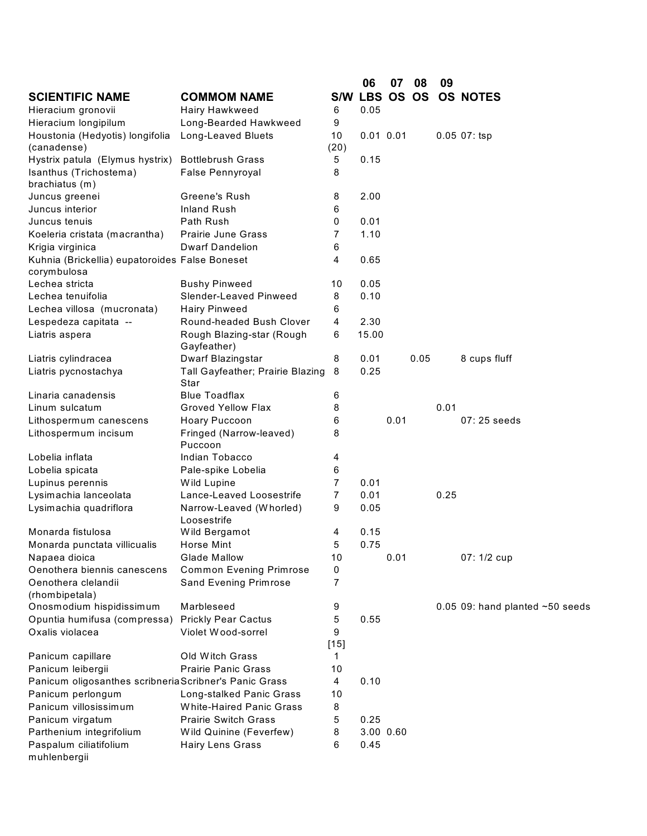|                                                               |                                          |                | 06            | 07   | 08   | 09   |                                   |
|---------------------------------------------------------------|------------------------------------------|----------------|---------------|------|------|------|-----------------------------------|
| <b>SCIENTIFIC NAME</b>                                        | <b>COMMOM NAME</b>                       |                | S/W LBS OS OS |      |      |      | <b>OS NOTES</b>                   |
| Hieracium gronovii                                            | Hairy Hawkweed                           | 6              | 0.05          |      |      |      |                                   |
| Hieracium longipilum                                          | Long-Bearded Hawkweed                    | 9              |               |      |      |      |                                   |
| Houstonia (Hedyotis) longifolia<br>(canadense)                | Long-Leaved Bluets                       | 10<br>(20)     | $0.01$ $0.01$ |      |      |      | $0.05$ $07:$ tsp                  |
| Hystrix patula (Elymus hystrix)                               | <b>Bottlebrush Grass</b>                 | 5              | 0.15          |      |      |      |                                   |
| Isanthus (Trichostema)                                        | False Pennyroyal                         | 8              |               |      |      |      |                                   |
| brachiatus (m)                                                |                                          |                |               |      |      |      |                                   |
| Juncus greenei                                                | Greene's Rush                            | 8              | 2.00          |      |      |      |                                   |
| Juncus interior                                               | <b>Inland Rush</b>                       | 6              |               |      |      |      |                                   |
| Juncus tenuis                                                 | Path Rush                                | 0              | 0.01          |      |      |      |                                   |
| Koeleria cristata (macrantha)                                 | <b>Prairie June Grass</b>                | 7              | 1.10          |      |      |      |                                   |
| Krigia virginica                                              | <b>Dwarf Dandelion</b>                   | 6              |               |      |      |      |                                   |
| Kuhnia (Brickellia) eupatoroides False Boneset<br>corymbulosa |                                          | 4              | 0.65          |      |      |      |                                   |
| Lechea stricta                                                | <b>Bushy Pinweed</b>                     | 10             | 0.05          |      |      |      |                                   |
| Lechea tenuifolia                                             | Slender-Leaved Pinweed                   | 8              | 0.10          |      |      |      |                                   |
| Lechea villosa (mucronata)                                    | <b>Hairy Pinweed</b>                     | 6              |               |      |      |      |                                   |
| Lespedeza capitata --                                         | Round-headed Bush Clover                 | 4              | 2.30          |      |      |      |                                   |
| Liatris aspera                                                | Rough Blazing-star (Rough<br>Gayfeather) | 6              | 15.00         |      |      |      |                                   |
| Liatris cylindracea                                           | Dwarf Blazingstar                        | 8              | 0.01          |      | 0.05 |      | 8 cups fluff                      |
| Liatris pycnostachya                                          | Tall Gayfeather; Prairie Blazing<br>Star | 8              | 0.25          |      |      |      |                                   |
| Linaria canadensis                                            | <b>Blue Toadflax</b>                     | 6              |               |      |      |      |                                   |
| Linum sulcatum                                                | <b>Groved Yellow Flax</b>                | 8              |               |      |      | 0.01 |                                   |
| Lithospermum canescens                                        | Hoary Puccoon                            | 6              |               | 0.01 |      |      | $07:25$ seeds                     |
| Lithospermum incisum                                          | Fringed (Narrow-leaved)<br>Puccoon       | 8              |               |      |      |      |                                   |
| Lobelia inflata                                               | Indian Tobacco                           | 4              |               |      |      |      |                                   |
| Lobelia spicata                                               | Pale-spike Lobelia                       | 6              |               |      |      |      |                                   |
| Lupinus perennis                                              | Wild Lupine                              | $\overline{7}$ | 0.01          |      |      |      |                                   |
| Lysimachia lanceolata                                         | Lance-Leaved Loosestrife                 | $\overline{7}$ | 0.01          |      |      | 0.25 |                                   |
| Lysimachia quadriflora                                        | Narrow-Leaved (Whorled)<br>Loosestrife   | 9              | 0.05          |      |      |      |                                   |
| Monarda fistulosa                                             | Wild Bergamot                            | 4              | 0.15          |      |      |      |                                   |
| Monarda punctata villicualis                                  | Horse Mint                               | 5              | 0.75          |      |      |      |                                   |
| Napaea dioica                                                 | <b>Glade Mallow</b>                      | 10             |               | 0.01 |      |      | 07: 1/2 cup                       |
| Oenothera biennis canescens                                   | <b>Common Evening Primrose</b>           | 0              |               |      |      |      |                                   |
| Oenothera clelandii<br>(rhombipetala)                         | Sand Evening Primrose                    | $\overline{7}$ |               |      |      |      |                                   |
| Onosmodium hispidissimum                                      | Marbleseed                               | 9              |               |      |      |      | 0.05 09: hand planted $~50$ seeds |
| Opuntia humifusa (compressa)                                  | <b>Prickly Pear Cactus</b>               | 5              | 0.55          |      |      |      |                                   |
| Oxalis violacea                                               | Violet Wood-sorrel                       | 9              |               |      |      |      |                                   |
|                                                               |                                          | $[15]$         |               |      |      |      |                                   |
| Panicum capillare                                             | Old Witch Grass                          | 1              |               |      |      |      |                                   |
| Panicum leibergii                                             | <b>Prairie Panic Grass</b>               | 10             |               |      |      |      |                                   |
| Panicum oligosanthes scribneriaScribner's Panic Grass         |                                          | 4              | 0.10          |      |      |      |                                   |
| Panicum perlongum                                             | Long-stalked Panic Grass                 | 10             |               |      |      |      |                                   |
| Panicum villosissimum                                         | White-Haired Panic Grass                 | 8              |               |      |      |      |                                   |
| Panicum virgatum                                              | <b>Prairie Switch Grass</b>              | 5              | 0.25          |      |      |      |                                   |
| Parthenium integrifolium                                      | Wild Quinine (Feverfew)                  | 8              | 3.00 0.60     |      |      |      |                                   |
| Paspalum ciliatifolium<br>muhlenbergii                        | <b>Hairy Lens Grass</b>                  | 6              | 0.45          |      |      |      |                                   |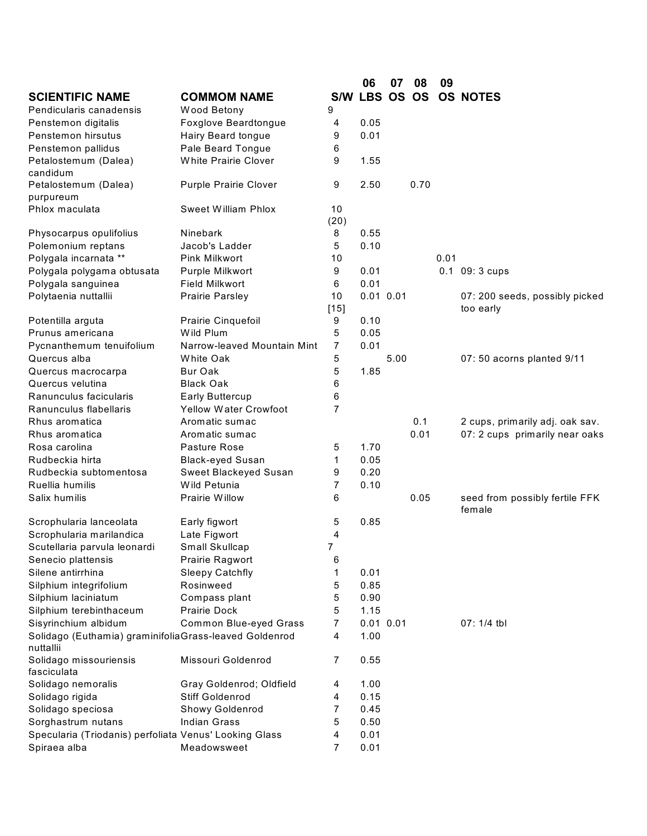|                                                        |                              |                | 06            | 07   | 08   | 09   |                                          |
|--------------------------------------------------------|------------------------------|----------------|---------------|------|------|------|------------------------------------------|
| <b>SCIENTIFIC NAME</b>                                 | <b>COMMOM NAME</b>           |                | S/W LBS OS OS |      |      |      | <b>OS NOTES</b>                          |
| Pendicularis canadensis                                | Wood Betony                  | 9              |               |      |      |      |                                          |
| Penstemon digitalis                                    | Foxglove Beardtongue         | 4              | 0.05          |      |      |      |                                          |
| Penstemon hirsutus                                     | Hairy Beard tongue           | 9              | 0.01          |      |      |      |                                          |
| Penstemon pallidus                                     | Pale Beard Tongue            | 6              |               |      |      |      |                                          |
| Petalostemum (Dalea)                                   | <b>White Prairie Clover</b>  | 9              | 1.55          |      |      |      |                                          |
| candidum                                               |                              |                |               |      |      |      |                                          |
| Petalostemum (Dalea)                                   | Purple Prairie Clover        | 9              | 2.50          |      | 0.70 |      |                                          |
| purpureum                                              |                              |                |               |      |      |      |                                          |
| Phlox maculata                                         | <b>Sweet William Phlox</b>   | 10             |               |      |      |      |                                          |
|                                                        |                              | (20)           |               |      |      |      |                                          |
| Physocarpus opulifolius                                | Ninebark                     | 8              | 0.55          |      |      |      |                                          |
| Polemonium reptans                                     | Jacob's Ladder               | 5              | 0.10          |      |      |      |                                          |
| Polygala incarnata **                                  | Pink Milkwort                | 10             |               |      |      | 0.01 |                                          |
| Polygala polygama obtusata                             | Purple Milkwort              | 9              | 0.01          |      |      |      | $0.1\;09:3$ cups                         |
| Polygala sanguinea                                     | <b>Field Milkwort</b>        | 6              | 0.01          |      |      |      |                                          |
| Polytaenia nuttallii                                   | Prairie Parsley              | 10             | $0.01$ $0.01$ |      |      |      | 07: 200 seeds, possibly picked           |
|                                                        |                              | $[15]$         |               |      |      |      | too early                                |
| Potentilla arguta                                      | Prairie Cinquefoil           | 9              | 0.10          |      |      |      |                                          |
| Prunus americana                                       | Wild Plum                    | 5              | 0.05          |      |      |      |                                          |
| Pycnanthemum tenuifolium                               | Narrow-leaved Mountain Mint  | $\overline{7}$ | 0.01          |      |      |      |                                          |
| Quercus alba                                           | White Oak                    | 5              |               | 5.00 |      |      | 07: 50 acorns planted 9/11               |
| Quercus macrocarpa                                     | <b>Bur Oak</b>               | 5              | 1.85          |      |      |      |                                          |
| Quercus velutina                                       | <b>Black Oak</b>             | 6              |               |      |      |      |                                          |
| Ranunculus facicularis                                 | <b>Early Buttercup</b>       | 6              |               |      |      |      |                                          |
| Ranunculus flabellaris                                 | <b>Yellow Water Crowfoot</b> | 7              |               |      |      |      |                                          |
| Rhus aromatica                                         | Aromatic sumac               |                |               |      | 0.1  |      | 2 cups, primarily adj. oak sav.          |
| Rhus aromatica                                         | Aromatic sumac               |                |               |      | 0.01 |      | 07: 2 cups primarily near oaks           |
| Rosa carolina                                          | Pasture Rose                 | 5              | 1.70          |      |      |      |                                          |
| Rudbeckia hirta                                        | <b>Black-eyed Susan</b>      | 1              | 0.05          |      |      |      |                                          |
| Rudbeckia subtomentosa                                 | Sweet Blackeyed Susan        | 9              | 0.20          |      |      |      |                                          |
| Ruellia humilis                                        | Wild Petunia                 | $\overline{7}$ | 0.10          |      |      |      |                                          |
| Salix humilis                                          | Prairie Willow               | 6              |               |      | 0.05 |      | seed from possibly fertile FFK<br>female |
| Scrophularia lanceolata                                | Early figwort                | 5              | 0.85          |      |      |      |                                          |
| Scrophularia marilandica                               | Late Figwort                 | 4              |               |      |      |      |                                          |
| Scutellaria parvula leonardi                           | Small Skullcap               | $\overline{7}$ |               |      |      |      |                                          |
| Senecio plattensis                                     | Prairie Ragwort              | 6              |               |      |      |      |                                          |
| Silene antirrhina                                      | <b>Sleepy Catchfly</b>       | 1              | 0.01          |      |      |      |                                          |
| Silphium integrifolium                                 | Rosinweed                    | 5              | 0.85          |      |      |      |                                          |
| Silphium laciniatum                                    | Compass plant                | 5              | 0.90          |      |      |      |                                          |
| Silphium terebinthaceum                                | Prairie Dock                 | 5              | 1.15          |      |      |      |                                          |
| Sisyrinchium albidum                                   | Common Blue-eyed Grass       | 7              | $0.01$ $0.01$ |      |      |      | 07: 1/4 tbl                              |
| Solidago (Euthamia) graminifoliaGrass-leaved Goldenrod |                              | 4              | 1.00          |      |      |      |                                          |
| nuttallii                                              |                              |                |               |      |      |      |                                          |
| Solidago missouriensis<br>fasciculata                  | Missouri Goldenrod           | 7              | 0.55          |      |      |      |                                          |
| Solidago nemoralis                                     | Gray Goldenrod; Oldfield     | 4              | 1.00          |      |      |      |                                          |
| Solidago rigida                                        | <b>Stiff Goldenrod</b>       | 4              | 0.15          |      |      |      |                                          |
| Solidago speciosa                                      | Showy Goldenrod              | 7              | 0.45          |      |      |      |                                          |
| Sorghastrum nutans                                     | <b>Indian Grass</b>          | 5              | 0.50          |      |      |      |                                          |
| Specularia (Triodanis) perfoliata Venus' Looking Glass |                              | 4              | 0.01          |      |      |      |                                          |
| Spiraea alba                                           | Meadowsweet                  | $\overline{7}$ | 0.01          |      |      |      |                                          |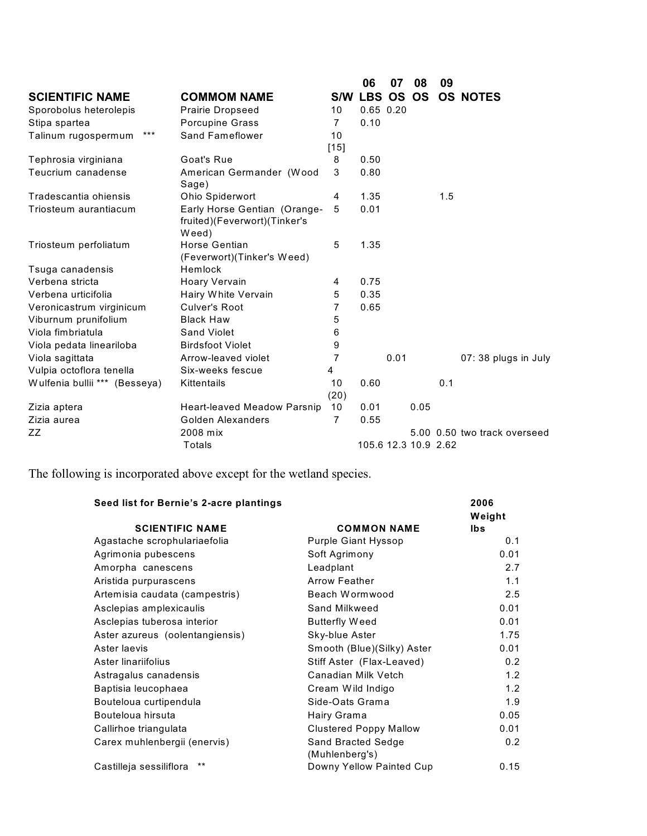|                               |                                                                       |                | 06                   | 07   | 08   | 09  |                              |
|-------------------------------|-----------------------------------------------------------------------|----------------|----------------------|------|------|-----|------------------------------|
| <b>SCIENTIFIC NAME</b>        | <b>COMMOM NAME</b>                                                    | <b>S/W</b>     | LBS OS OS            |      |      |     | <b>OS NOTES</b>              |
| Sporobolus heterolepis        | Prairie Dropseed                                                      | 10             | $0.65$ $0.20$        |      |      |     |                              |
| Stipa spartea                 | Porcupine Grass                                                       | $\overline{7}$ | 0.10                 |      |      |     |                              |
| $***$<br>Talinum rugospermum  | <b>Sand Fameflower</b>                                                | 10             |                      |      |      |     |                              |
|                               |                                                                       | $[15]$         |                      |      |      |     |                              |
| Tephrosia virginiana          | Goat's Rue                                                            | 8              | 0.50                 |      |      |     |                              |
| Teucrium canadense            | American Germander (Wood<br>Sage)                                     | 3              | 0.80                 |      |      |     |                              |
| Tradescantia ohiensis         | Ohio Spiderwort                                                       | 4              | 1.35                 |      |      | 1.5 |                              |
| Triosteum aurantiacum         | Early Horse Gentian (Orange-<br>fruited)(Feverwort)(Tinker's<br>Weed) | 5              | 0.01                 |      |      |     |                              |
| Triosteum perfoliatum         | Horse Gentian<br>(Feverwort)(Tinker's Weed)                           | 5              | 1.35                 |      |      |     |                              |
| Tsuga canadensis              | Hemlock                                                               |                |                      |      |      |     |                              |
| Verbena stricta               | Hoary Vervain                                                         | 4              | 0.75                 |      |      |     |                              |
| Verbena urticifolia           | Hairy White Vervain                                                   | 5              | 0.35                 |      |      |     |                              |
| Veronicastrum virginicum      | <b>Culver's Root</b>                                                  | 7              | 0.65                 |      |      |     |                              |
| Viburnum prunifolium          | <b>Black Haw</b>                                                      | 5              |                      |      |      |     |                              |
| Viola fimbriatula             | Sand Violet                                                           | 6              |                      |      |      |     |                              |
| Viola pedata lineariloba      | <b>Birdsfoot Violet</b>                                               | 9              |                      |      |      |     |                              |
| Viola sagittata               | Arrow-leaved violet                                                   | 7              |                      | 0.01 |      |     | 07: 38 plugs in July         |
| Vulpia octoflora tenella      | Six-weeks fescue                                                      | 4              |                      |      |      |     |                              |
| Wulfenia bullii *** (Besseya) | Kittentails                                                           | 10             | 0.60                 |      |      | 0.1 |                              |
|                               |                                                                       | (20)           |                      |      |      |     |                              |
| Zizia aptera                  | Heart-leaved Meadow Parsnip                                           | 10             | 0.01                 |      | 0.05 |     |                              |
| Zizia aurea                   | Golden Alexanders                                                     | $\overline{7}$ | 0.55                 |      |      |     |                              |
| ZZ                            | 2008 mix                                                              |                |                      |      |      |     | 5.00 0.50 two track overseed |
|                               | Totals                                                                |                | 105.6 12.3 10.9 2.62 |      |      |     |                              |

The following is incorporated above except for the wetland species.

| Seed list for Bernie's 2-acre plantings |                               | 2006           |
|-----------------------------------------|-------------------------------|----------------|
| <b>SCIENTIFIC NAME</b>                  | <b>COMMON NAME</b>            | Weight<br>lbs. |
|                                         |                               |                |
| Agastache scrophulariaefolia            | <b>Purple Giant Hyssop</b>    | 0.1            |
| Agrimonia pubescens                     | Soft Agrimony                 | 0.01           |
| Amorpha canescens                       | Leadplant                     | 2.7            |
| Aristida purpurascens                   | <b>Arrow Feather</b>          | 1.1            |
| Artemisia caudata (campestris)          | Beach Wormwood                | 2.5            |
| Asclepias amplexicaulis                 | Sand Milkweed                 | 0.01           |
| Asclepias tuberosa interior             | <b>Butterfly Weed</b>         | 0.01           |
| Aster azureus (oolentangiensis)         | Sky-blue Aster                | 1.75           |
| Aster laevis                            | Smooth (Blue)(Silky) Aster    | 0.01           |
| Aster linariifolius                     | Stiff Aster (Flax-Leaved)     | 0.2            |
| Astragalus canadensis                   | Canadian Milk Vetch           | 1.2            |
| Baptisia leucophaea                     | Cream Wild Indigo             | 1.2            |
| Bouteloua curtipendula                  | Side-Oats Grama               | 1.9            |
| Bouteloua hirsuta                       | Hairy Grama                   | 0.05           |
| Callirhoe triangulata                   | <b>Clustered Poppy Mallow</b> | 0.01           |
| Carex muhlenbergii (enervis)            | Sand Bracted Sedge            | 0.2            |
| $***$                                   | (Muhlenberg's)                |                |
| Castilleja sessiliflora                 | Downy Yellow Painted Cup      | 0.15           |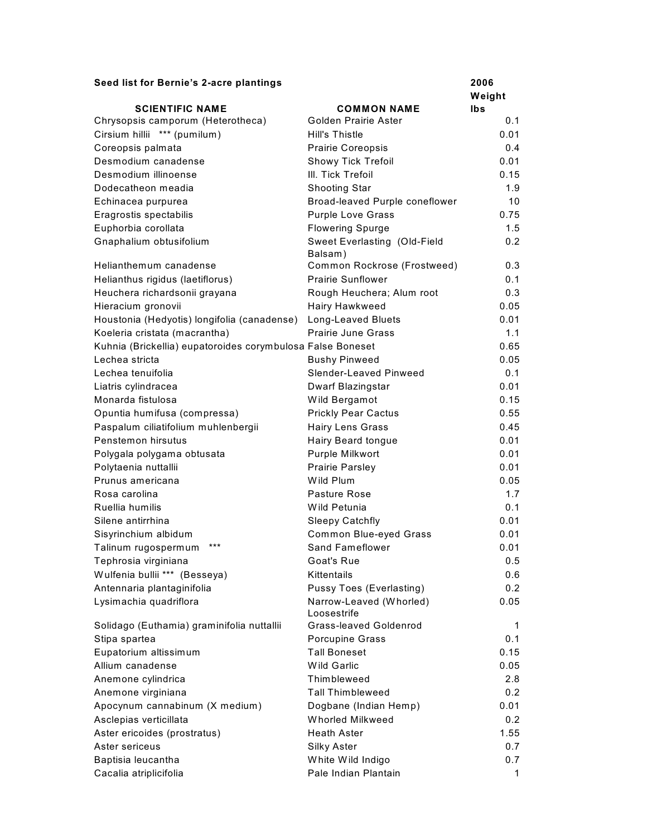| Seed list for Bernie's 2-acre plantings                           |                                                        | 2006       |
|-------------------------------------------------------------------|--------------------------------------------------------|------------|
|                                                                   |                                                        | Weight     |
| <b>SCIENTIFIC NAME</b>                                            | <b>COMMON NAME</b><br>Golden Prairie Aster             | lbs<br>0.1 |
| Chrysopsis camporum (Heterotheca)<br>Cirsium hillii *** (pumilum) | Hill's Thistle                                         | 0.01       |
|                                                                   | <b>Prairie Coreopsis</b>                               | 0.4        |
| Coreopsis palmata<br>Desmodium canadense                          | <b>Showy Tick Trefoil</b>                              | 0.01       |
| Desmodium illinoense                                              | III. Tick Trefoil                                      | 0.15       |
| Dodecatheon meadia                                                |                                                        | 1.9        |
| Echinacea purpurea                                                | <b>Shooting Star</b><br>Broad-leaved Purple coneflower | 10         |
| Eragrostis spectabilis                                            | <b>Purple Love Grass</b>                               | 0.75       |
| Euphorbia corollata                                               | <b>Flowering Spurge</b>                                | 1.5        |
|                                                                   |                                                        | 0.2        |
| Gnaphalium obtusifolium                                           | Sweet Everlasting (Old-Field<br>Balsam)                |            |
| Helianthemum canadense                                            | Common Rockrose (Frostweed)                            | 0.3        |
| Helianthus rigidus (laetiflorus)                                  | <b>Prairie Sunflower</b>                               | 0.1        |
| Heuchera richardsonii grayana                                     | Rough Heuchera; Alum root                              | 0.3        |
| Hieracium gronovii                                                | Hairy Hawkweed                                         | 0.05       |
| Houstonia (Hedyotis) longifolia (canadense)                       | Long-Leaved Bluets                                     | 0.01       |
| Koeleria cristata (macrantha)                                     | <b>Prairie June Grass</b>                              | 1.1        |
| Kuhnia (Brickellia) eupatoroides corymbulosa False Boneset        |                                                        | 0.65       |
| Lechea stricta                                                    | <b>Bushy Pinweed</b>                                   | 0.05       |
| Lechea tenuifolia                                                 | Slender-Leaved Pinweed                                 | 0.1        |
| Liatris cylindracea                                               | Dwarf Blazingstar                                      | 0.01       |
| Monarda fistulosa                                                 | Wild Bergamot                                          | 0.15       |
| Opuntia humifusa (compressa)                                      | <b>Prickly Pear Cactus</b>                             | 0.55       |
| Paspalum ciliatifolium muhlenbergii                               | <b>Hairy Lens Grass</b>                                | 0.45       |
| Penstemon hirsutus                                                | Hairy Beard tongue                                     | 0.01       |
| Polygala polygama obtusata                                        | Purple Milkwort                                        | 0.01       |
| Polytaenia nuttallii                                              | Prairie Parsley                                        | 0.01       |
| Prunus americana                                                  | Wild Plum                                              | 0.05       |
| Rosa carolina                                                     | Pasture Rose                                           | 1.7        |
| Ruellia humilis                                                   | Wild Petunia                                           | 0.1        |
| Silene antirrhina                                                 | <b>Sleepy Catchfly</b>                                 | 0.01       |
| Sisyrinchium albidum                                              | <b>Common Blue-eyed Grass</b>                          | 0.01       |
| $***$<br>Talinum rugospermum                                      | <b>Sand Fameflower</b>                                 | 0.01       |
| Tephrosia virginiana                                              | Goat's Rue                                             | 0.5        |
| Wulfenia bullii *** (Besseya)                                     | Kittentails                                            | 0.6        |
| Antennaria plantaginifolia                                        | Pussy Toes (Everlasting)                               | 0.2        |
| Lysimachia quadriflora                                            | Narrow-Leaved (Whorled)                                | 0.05       |
|                                                                   | Loosestrife                                            |            |
| Solidago (Euthamia) graminifolia nuttallii                        | <b>Grass-leaved Goldenrod</b>                          | 1          |
| Stipa spartea                                                     | Porcupine Grass                                        | 0.1        |
| Eupatorium altissimum                                             | <b>Tall Boneset</b>                                    | 0.15       |
| Allium canadense                                                  | Wild Garlic                                            | 0.05       |
| Anemone cylindrica                                                | Thimbleweed                                            | 2.8        |
| Anemone virginiana                                                | <b>Tall Thimbleweed</b>                                | 0.2        |
| Apocynum cannabinum (X medium)                                    | Dogbane (Indian Hemp)                                  | 0.01       |
| Asclepias verticillata                                            | Whorled Milkweed                                       | 0.2        |
| Aster ericoides (prostratus)                                      | <b>Heath Aster</b>                                     | 1.55       |
| Aster sericeus                                                    | Silky Aster                                            | 0.7        |
| Baptisia leucantha                                                | White Wild Indigo                                      | 0.7        |
| Cacalia atriplicifolia                                            | Pale Indian Plantain                                   | 1          |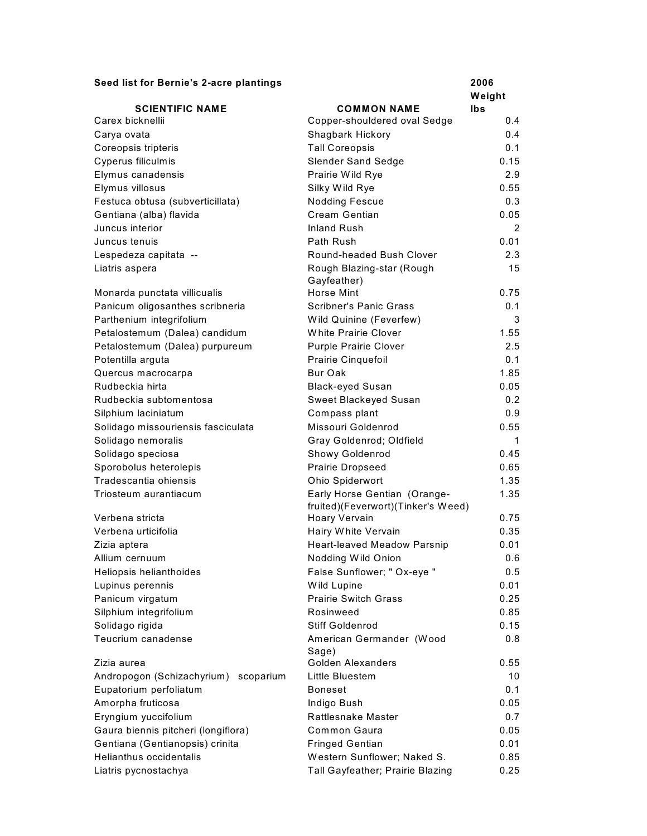| Seed list for Bernie's 2-acre plantings | 2006 |
|-----------------------------------------|------|
|-----------------------------------------|------|

|                                         |                                          | Weight |
|-----------------------------------------|------------------------------------------|--------|
| <b>SCIENTIFIC NAME</b>                  | <b>COMMON NAME</b>                       | lbs    |
| Carex bicknellii                        | Copper-shouldered oval Sedge             | 0.4    |
| Carya ovata                             | Shagbark Hickory                         | 0.4    |
| Coreopsis tripteris                     | <b>Tall Coreopsis</b>                    | 0.1    |
| Cyperus filiculmis                      | <b>Slender Sand Sedge</b>                | 0.15   |
| Elymus canadensis                       | Prairie Wild Rye                         | 2.9    |
| Elymus villosus                         | Silky Wild Rye                           | 0.55   |
| Festuca obtusa (subverticillata)        | <b>Nodding Fescue</b>                    | 0.3    |
| Gentiana (alba) flavida                 | Cream Gentian                            | 0.05   |
| Juncus interior                         | Inland Rush                              | 2      |
| Juncus tenuis                           | Path Rush                                | 0.01   |
| Lespedeza capitata --                   | Round-headed Bush Clover                 | 2.3    |
| Liatris aspera                          | Rough Blazing-star (Rough<br>Gayfeather) | 15     |
| Monarda punctata villicualis            | Horse Mint                               | 0.75   |
| Panicum oligosanthes scribneria         | <b>Scribner's Panic Grass</b>            | 0.1    |
| Parthenium integrifolium                | Wild Quinine (Feverfew)                  | 3      |
| Petalostemum (Dalea) candidum           | <b>White Prairie Clover</b>              | 1.55   |
| Petalostemum (Dalea) purpureum          | <b>Purple Prairie Clover</b>             | 2.5    |
| Potentilla arguta                       | Prairie Cinquefoil                       | 0.1    |
| Quercus macrocarpa                      | Bur Oak                                  | 1.85   |
| Rudbeckia hirta                         | <b>Black-eyed Susan</b>                  | 0.05   |
| Rudbeckia subtomentosa                  | Sweet Blackeyed Susan                    | 0.2    |
| Silphium laciniatum                     | Compass plant                            | 0.9    |
| Solidago missouriensis fasciculata      | Missouri Goldenrod                       | 0.55   |
| Solidago nemoralis                      | Gray Goldenrod; Oldfield                 | 1      |
| Solidago speciosa                       | Showy Goldenrod                          | 0.45   |
| Sporobolus heterolepis                  | Prairie Dropseed                         | 0.65   |
| Tradescantia ohiensis                   | Ohio Spiderwort                          | 1.35   |
| Triosteum aurantiacum                   | Early Horse Gentian (Orange-             | 1.35   |
|                                         | fruited)(Feverwort)(Tinker's Weed)       | 0.75   |
| Verbena stricta                         | Hoary Vervain                            |        |
| Verbena urticifolia                     | Hairy White Vervain                      | 0.35   |
| Zizia aptera                            | <b>Heart-leaved Meadow Parsnip</b>       | 0.01   |
| Allium cernuum                          | Nodding Wild Onion                       | 0.6    |
| Heliopsis helianthoides                 | False Sunflower; " Ox-eye "              | 0.5    |
| Lupinus perennis                        | Wild Lupine                              | 0.01   |
| Panicum virgatum                        | <b>Prairie Switch Grass</b>              | 0.25   |
| Silphium integrifolium                  | Rosinweed                                | 0.85   |
| Solidago rigida                         | <b>Stiff Goldenrod</b>                   | 0.15   |
| Teucrium canadense                      | American Germander (Wood<br>Sage)        | 0.8    |
| Zizia aurea                             | Golden Alexanders                        | 0.55   |
| Andropogon (Schizachyrium)<br>scoparium | Little Bluestem                          | 10     |
| Eupatorium perfoliatum                  | <b>Boneset</b>                           | 0.1    |
| Amorpha fruticosa                       | Indigo Bush                              | 0.05   |
| Eryngium yuccifolium                    | Rattlesnake Master                       | 0.7    |
| Gaura biennis pitcheri (longiflora)     | Common Gaura                             | 0.05   |
| Gentiana (Gentianopsis) crinita         | <b>Fringed Gentian</b>                   | 0.01   |
| Helianthus occidentalis                 | Western Sunflower; Naked S.              | 0.85   |
| Liatris pycnostachya                    | Tall Gayfeather; Prairie Blazing         | 0.25   |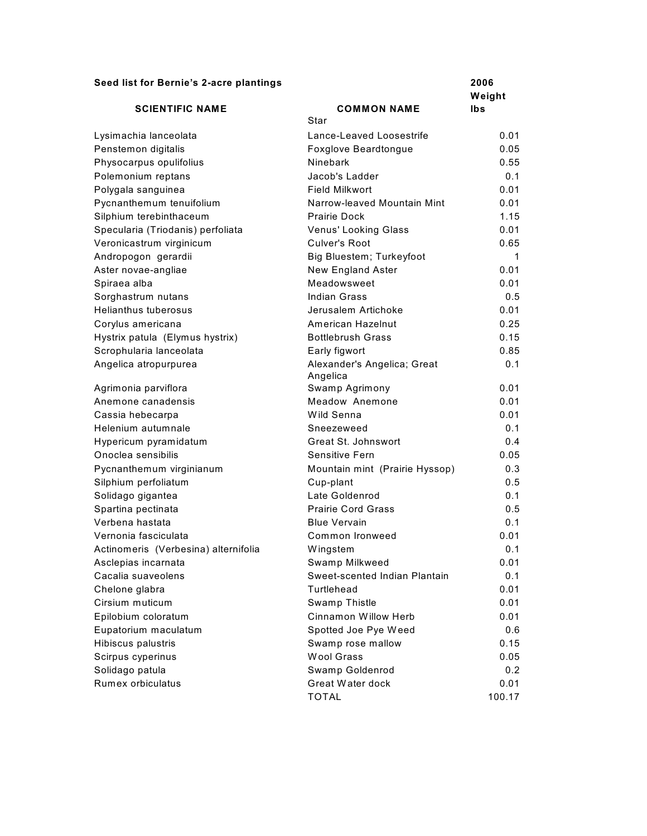# **Seed list for Bernie's 2-acre plantings 2006**

|                                      |                                | Weight |
|--------------------------------------|--------------------------------|--------|
| <b>SCIENTIFIC NAME</b>               | <b>COMMON NAME</b>             | Ibs    |
|                                      | Star                           |        |
| Lysimachia lanceolata                | Lance-Leaved Loosestrife       | 0.01   |
| Penstemon digitalis                  | <b>Foxglove Beardtongue</b>    | 0.05   |
| Physocarpus opulifolius              | Ninebark                       | 0.55   |
| Polemonium reptans                   | Jacob's Ladder                 | 0.1    |
| Polygala sanguinea                   | Field Milkwort                 | 0.01   |
| Pycnanthemum tenuifolium             | Narrow-leaved Mountain Mint    | 0.01   |
| Silphium terebinthaceum              | Prairie Dock                   | 1.15   |
| Specularia (Triodanis) perfoliata    | Venus' Looking Glass           | 0.01   |
| Veronicastrum virginicum             | Culver's Root                  | 0.65   |
| Andropogon gerardii                  | Big Bluestem; Turkeyfoot       | 1      |
| Aster novae-angliae                  | New England Aster              | 0.01   |
| Spiraea alba                         | Meadowsweet                    | 0.01   |
| Sorghastrum nutans                   | Indian Grass                   | 0.5    |
| <b>Helianthus tuberosus</b>          | Jerusalem Artichoke            | 0.01   |
| Corylus americana                    | American Hazelnut              | 0.25   |
| Hystrix patula (Elymus hystrix)      | <b>Bottlebrush Grass</b>       | 0.15   |
| Scrophularia lanceolata              | Early figwort                  | 0.85   |
| Angelica atropurpurea                | Alexander's Angelica; Great    | 0.1    |
|                                      | Angelica                       |        |
| Agrimonia parviflora                 | Swamp Agrimony                 | 0.01   |
| Anemone canadensis                   | Meadow Anemone                 | 0.01   |
| Cassia hebecarpa                     | Wild Senna                     | 0.01   |
| Helenium autumnale                   | Sneezeweed                     | 0.1    |
| Hypericum pyramidatum                | Great St. Johnswort            | 0.4    |
| Onoclea sensibilis                   | Sensitive Fern                 | 0.05   |
| Pycnanthemum virginianum             | Mountain mint (Prairie Hyssop) | 0.3    |
| Silphium perfoliatum                 | Cup-plant                      | 0.5    |
| Solidago gigantea                    | Late Goldenrod                 | 0.1    |
| Spartina pectinata                   | <b>Prairie Cord Grass</b>      | 0.5    |
| Verbena hastata                      | <b>Blue Vervain</b>            | 0.1    |
| Vernonia fasciculata                 | Common Ironweed                | 0.01   |
| Actinomeris (Verbesina) alternifolia | Wingstem                       | 0.1    |
| Asclepias incarnata                  | Swamp Milkweed                 | 0.01   |
| Cacalia suaveolens                   | Sweet-scented Indian Plantain  | 0.1    |
| Chelone glabra                       | Turtlehead                     | 0.01   |
| Cirsium muticum                      | Swamp Thistle                  | 0.01   |
| Epilobium coloratum                  | Cinnamon Willow Herb           | 0.01   |
| Eupatorium maculatum                 | Spotted Joe Pye Weed           | 0.6    |
| Hibiscus palustris                   | Swamp rose mallow              | 0.15   |
| Scirpus cyperinus                    | <b>Wool Grass</b>              | 0.05   |
| Solidago patula                      | Swamp Goldenrod                | 0.2    |
| Rumex orbiculatus                    | Great Water dock               |        |
|                                      |                                | 0.01   |
|                                      | <b>TOTAL</b>                   | 100.17 |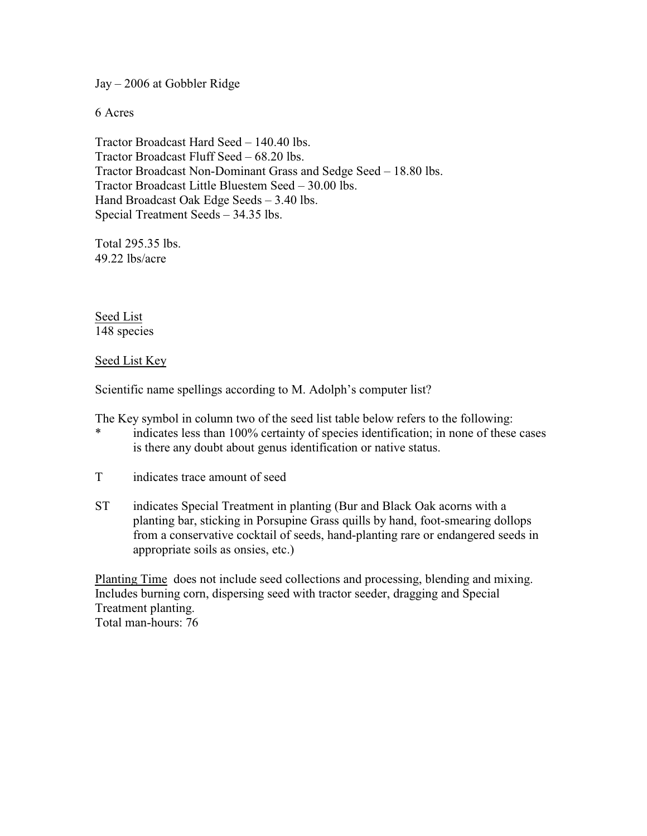Jay – 2006 at Gobbler Ridge

6 Acres

Tractor Broadcast Hard Seed – 140.40 lbs. Tractor Broadcast Fluff Seed – 68.20 lbs. Tractor Broadcast Non-Dominant Grass and Sedge Seed – 18.80 lbs. Tractor Broadcast Little Bluestem Seed – 30.00 lbs. Hand Broadcast Oak Edge Seeds – 3.40 lbs. Special Treatment Seeds – 34.35 lbs.

Total 295.35 lbs. 49.22 lbs/acre

Seed List 148 species

Seed List Key

Scientific name spellings according to M. Adolph's computer list?

The Key symbol in column two of the seed list table below refers to the following:

- indicates less than 100% certainty of species identification; in none of these cases is there any doubt about genus identification or native status.
- T indicates trace amount of seed
- ST indicates Special Treatment in planting (Bur and Black Oak acorns with a planting bar, sticking in Porsupine Grass quills by hand, foot-smearing dollops from a conservative cocktail of seeds, hand-planting rare or endangered seeds in appropriate soils as onsies, etc.)

Planting Time does not include seed collections and processing, blending and mixing. Includes burning corn, dispersing seed with tractor seeder, dragging and Special Treatment planting. Total man-hours: 76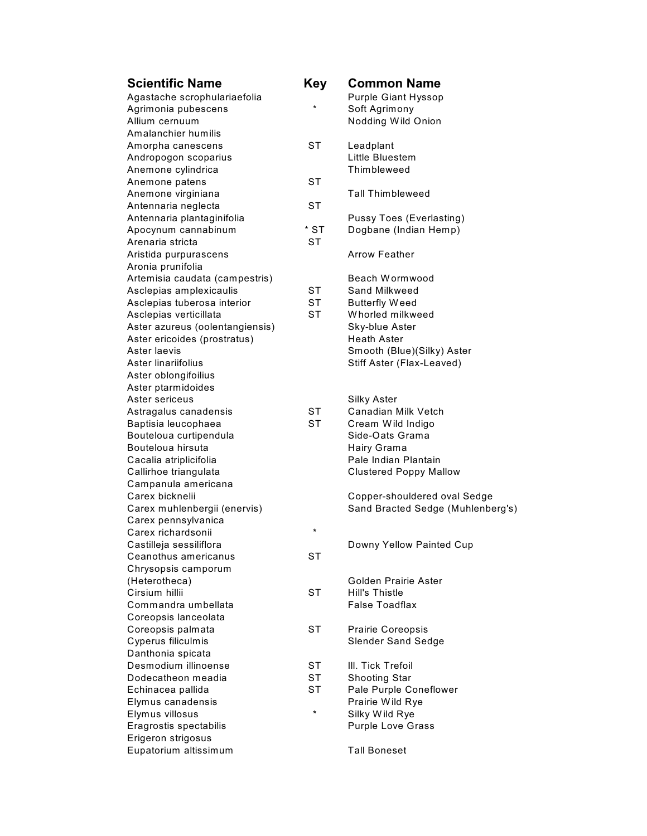| <b>Scientific Name</b>          | <b>Key</b> | <b>Common Name</b>                |
|---------------------------------|------------|-----------------------------------|
| Agastache scrophulariaefolia    |            | <b>Purple Giant Hyssop</b>        |
| Agrimonia pubescens             | $\star$    | Soft Agrimony                     |
| Allium cernuum                  |            | Nodding Wild Onion                |
| Amalanchier humilis             |            |                                   |
| Amorpha canescens               | ST         | Leadplant                         |
| Andropogon scoparius            |            | Little Bluestem                   |
| Anemone cylindrica              |            | Thimbleweed                       |
| Anemone patens                  | ST         |                                   |
| Anemone virginiana              |            | <b>Tall Thimbleweed</b>           |
| Antennaria neglecta             | <b>ST</b>  |                                   |
| Antennaria plantaginifolia      |            | <b>Pussy Toes (Everlasting)</b>   |
| Apocynum cannabinum             | $*$ ST     | Dogbane (Indian Hemp)             |
| Arenaria stricta                | <b>ST</b>  |                                   |
| Aristida purpurascens           |            | <b>Arrow Feather</b>              |
| Aronia prunifolia               |            |                                   |
| Artemisia caudata (campestris)  |            | Beach Wormwood                    |
| Asclepias amplexicaulis         | SТ         | Sand Milkweed                     |
| Asclepias tuberosa interior     | <b>ST</b>  | <b>Butterfly Weed</b>             |
| Asclepias verticillata          | <b>ST</b>  | Whorled milkweed                  |
| Aster azureus (oolentangiensis) |            | Sky-blue Aster                    |
| Aster ericoides (prostratus)    |            | <b>Heath Aster</b>                |
| Aster laevis                    |            | Smooth (Blue)(Silky) Aster        |
| Aster linariifolius             |            | Stiff Aster (Flax-Leaved)         |
| Aster oblongifoilius            |            |                                   |
| Aster ptarmidoides              |            |                                   |
| Aster sericeus                  |            | Silky Aster                       |
| Astragalus canadensis           | ST         | Canadian Milk Vetch               |
| Baptisia leucophaea             | <b>ST</b>  | Cream Wild Indigo                 |
| Bouteloua curtipendula          |            | Side-Oats Grama                   |
| Bouteloua hirsuta               |            | Hairy Grama                       |
| Cacalia atriplicifolia          |            | Pale Indian Plantain              |
| Callirhoe triangulata           |            | <b>Clustered Poppy Mallow</b>     |
| Campanula americana             |            |                                   |
| Carex bicknelii                 |            | Copper-shouldered oval Sedge      |
| Carex muhlenbergii (enervis)    |            | Sand Bracted Sedge (Muhlenberg's) |
| Carex pennsylvanica             |            |                                   |
| Carex richardsonii              | $^\star$   |                                   |
| Castilleja sessiliflora         |            | Downy Yellow Painted Cup          |
| Ceanothus americanus            | SТ         |                                   |
| Chrysopsis camporum             |            |                                   |
| (Heterotheca)                   |            | Golden Prairie Aster              |
| Cirsium hillii                  | <b>ST</b>  | <b>Hill's Thistle</b>             |
| Commandra umbellata             |            | <b>False Toadflax</b>             |
| Coreopsis lanceolata            |            |                                   |
| Coreopsis palmata               | SТ         | Prairie Coreopsis                 |
| Cyperus filiculmis              |            | <b>Slender Sand Sedge</b>         |
| Danthonia spicata               |            |                                   |
| Desmodium illinoense            | <b>ST</b>  | III. Tick Trefoil                 |
| Dodecatheon meadia              | <b>ST</b>  | <b>Shooting Star</b>              |
| Echinacea pallida               | ST         | Pale Purple Coneflower            |
| Elymus canadensis               |            | Prairie Wild Rye                  |
| Elymus villosus                 | $\star$    | Silky Wild Rye                    |
| Eragrostis spectabilis          |            | <b>Purple Love Grass</b>          |
| Erigeron strigosus              |            |                                   |
| Eupatorium altissimum           |            | <b>Tall Boneset</b>               |
|                                 |            |                                   |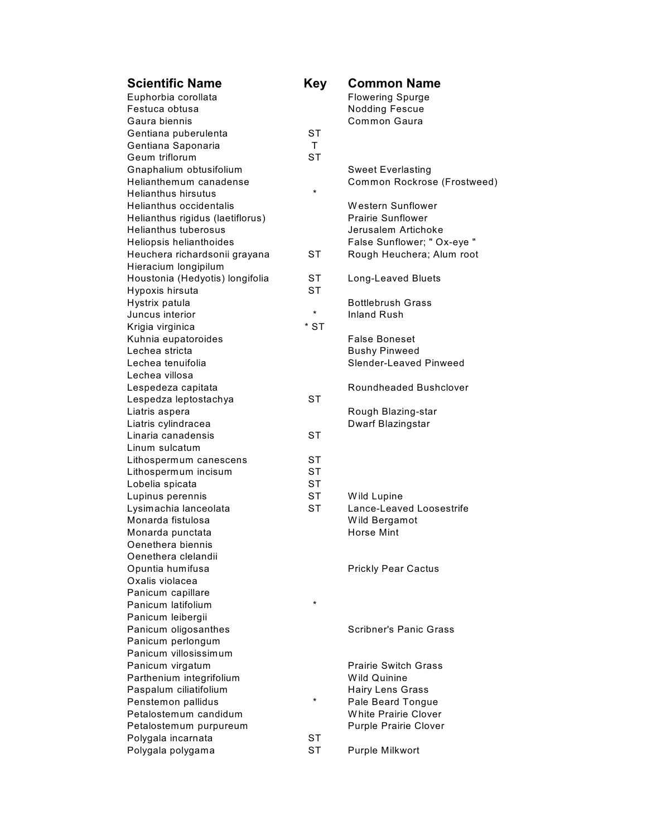| <b>Scientific Name</b>           | <b>Key</b> | <b>Common Name</b>           |
|----------------------------------|------------|------------------------------|
| Euphorbia corollata              |            | <b>Flowering Spurge</b>      |
| Festuca obtusa                   |            | <b>Nodding Fescue</b>        |
| Gaura biennis                    |            | Common Gaura                 |
| Gentiana puberulenta             | <b>ST</b>  |                              |
| Gentiana Saponaria               | T.         |                              |
| Geum triflorum                   | <b>ST</b>  |                              |
| Gnaphalium obtusifolium          |            | <b>Sweet Everlasting</b>     |
| Helianthemum canadense           |            | Common Rockrose (Frostweed)  |
| <b>Helianthus hirsutus</b>       | $\star$    |                              |
| Helianthus occidentalis          |            | <b>Western Sunflower</b>     |
| Helianthus rigidus (laetiflorus) |            | <b>Prairie Sunflower</b>     |
| <b>Helianthus tuberosus</b>      |            | Jerusalem Artichoke          |
| Heliopsis helianthoides          |            | False Sunflower; " Ox-eye "  |
| Heuchera richardsonii grayana    | <b>ST</b>  | Rough Heuchera; Alum root    |
| Hieracium longipilum             |            |                              |
| Houstonia (Hedyotis) longifolia  | ST         | <b>Long-Leaved Bluets</b>    |
| Hypoxis hirsuta                  | <b>ST</b>  |                              |
| Hystrix patula                   |            | <b>Bottlebrush Grass</b>     |
| Juncus interior                  | $^\star$   | <b>Inland Rush</b>           |
| Krigia virginica                 | * ST       |                              |
| Kuhnia eupatoroides              |            | <b>False Boneset</b>         |
| Lechea stricta                   |            | <b>Bushy Pinweed</b>         |
| Lechea tenuifolia                |            | Slender-Leaved Pinweed       |
| Lechea villosa                   |            |                              |
| Lespedeza capitata               |            | Roundheaded Bushclover       |
| Lespedza leptostachya            | <b>ST</b>  |                              |
| Liatris aspera                   |            | Rough Blazing-star           |
| Liatris cylindracea              |            | Dwarf Blazingstar            |
| Linaria canadensis               | <b>ST</b>  |                              |
| Linum sulcatum                   |            |                              |
| Lithospermum canescens           | <b>ST</b>  |                              |
| Lithospermum incisum             | <b>ST</b>  |                              |
| Lobelia spicata                  | <b>ST</b>  |                              |
| Lupinus perennis                 | <b>ST</b>  | Wild Lupine                  |
| Lysimachia lanceolata            | <b>ST</b>  | Lance-Leaved Loosestrife     |
| Monarda fistulosa                |            | Wild Bergamot                |
| Monarda punctata                 |            | <b>Horse Mint</b>            |
| Oenethera biennis                |            |                              |
| Oenethera clelandii              |            |                              |
| Opuntia humifusa                 |            | <b>Prickly Pear Cactus</b>   |
| Oxalis violacea                  |            |                              |
| Panicum capillare                |            |                              |
| Panicum latifolium               | $\star$    |                              |
| Panicum leibergii                |            |                              |
| Panicum oligosanthes             |            | Scribner's Panic Grass       |
| Panicum perlongum                |            |                              |
| Panicum villosissimum            |            |                              |
| Panicum virgatum                 |            | <b>Prairie Switch Grass</b>  |
| Parthenium integrifolium         |            | Wild Quinine                 |
| Paspalum ciliatifolium           |            | <b>Hairy Lens Grass</b>      |
| Penstemon pallidus               | $\star$    | Pale Beard Tongue            |
| Petalostemum candidum            |            | <b>White Prairie Clover</b>  |
| Petalostemum purpureum           |            | <b>Purple Prairie Clover</b> |
| Polygala incarnata               | <b>ST</b>  |                              |
| Polygala polygama                | <b>ST</b>  | Purple Milkwort              |
|                                  |            |                              |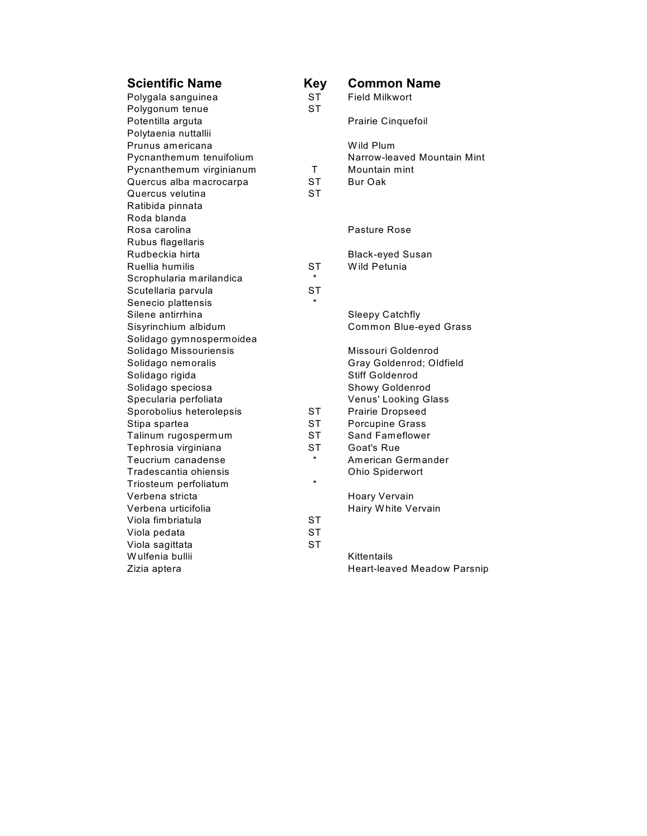| <b>Scientific Name</b>   | <b>Key</b> | <b>Common Name</b>                 |
|--------------------------|------------|------------------------------------|
| Polygala sanguinea       | <b>ST</b>  | <b>Field Milkwort</b>              |
| Polygonum tenue          | <b>ST</b>  |                                    |
| Potentilla arguta        |            | Prairie Cinquefoil                 |
| Polytaenia nuttallii     |            |                                    |
| Prunus americana         |            | Wild Plum                          |
| Pycnanthemum tenuifolium |            | Narrow-leaved Mountain Mint        |
| Pycnanthemum virginianum | T.         | Mountain mint                      |
| Quercus alba macrocarpa  | <b>ST</b>  | Bur Oak                            |
| Quercus velutina         | SТ         |                                    |
| Ratibida pinnata         |            |                                    |
| Roda blanda              |            |                                    |
| Rosa carolina            |            | Pasture Rose                       |
| Rubus flagellaris        |            |                                    |
| Rudbeckia hirta          |            | <b>Black-eyed Susan</b>            |
| Ruellia humilis          | <b>ST</b>  | Wild Petunia                       |
| Scrophularia marilandica | $\star$    |                                    |
| Scutellaria parvula      | SТ         |                                    |
| Senecio plattensis       | $\star$    |                                    |
| Silene antirrhina        |            | <b>Sleepy Catchfly</b>             |
| Sisyrinchium albidum     |            | Common Blue-eyed Grass             |
| Solidago gymnospermoidea |            |                                    |
| Solidago Missouriensis   |            | Missouri Goldenrod                 |
| Solidago nemoralis       |            | Gray Goldenrod; Oldfield           |
| Solidago rigida          |            | Stiff Goldenrod                    |
| Solidago speciosa        |            | Showy Goldenrod                    |
| Specularia perfoliata    |            | Venus' Looking Glass               |
| Sporobolius heterolepsis | <b>ST</b>  | Prairie Dropseed                   |
| Stipa spartea            | SТ         | Porcupine Grass                    |
| Talinum rugospermum      | SТ         | <b>Sand Fameflower</b>             |
| Tephrosia virginiana     | ST         | Goat's Rue                         |
| Teucrium canadense       | $\star$    | American Germander                 |
| Tradescantia ohiensis    |            | Ohio Spiderwort                    |
| Triosteum perfoliatum    | $\star$    |                                    |
| Verbena stricta          |            | Hoary Vervain                      |
| Verbena urticifolia      |            | Hairy White Vervain                |
| Viola fimbriatula        | <b>ST</b>  |                                    |
| Viola pedata             | <b>ST</b>  |                                    |
| Viola sagittata          | <b>ST</b>  |                                    |
| Wulfenia bullii          |            | Kittentails                        |
| Zizia aptera             |            | <b>Heart-leaved Meadow Parsnip</b> |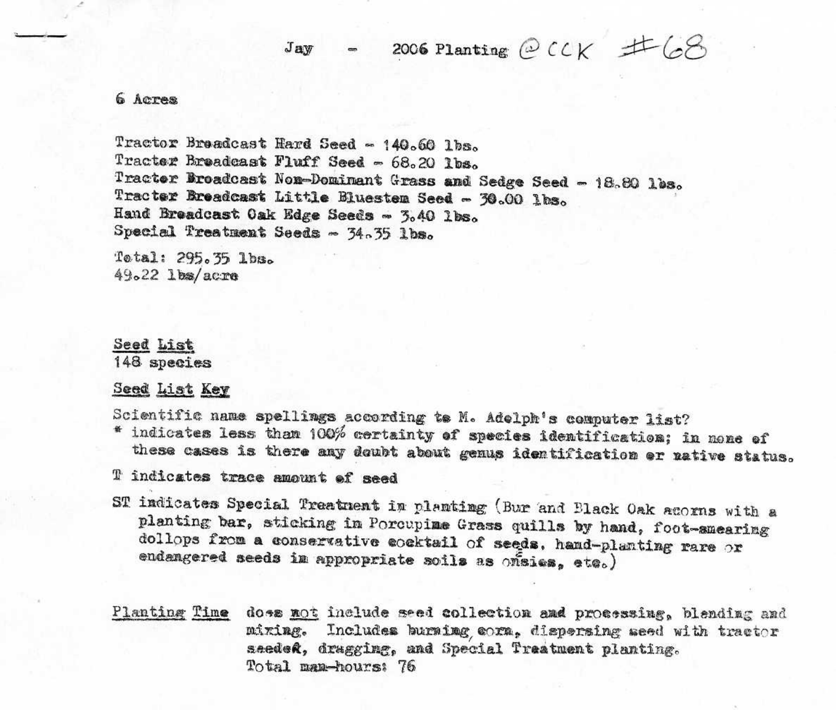2006 Planting  $\mathcal{O}$  CCK  $\pm \mathcal{O}$ Jav

#### 6 Acres

Tractor Braadcast Hard Seed - 140.60 lbs. Tracter Breadcast Fluff Seed - 68.20 lbs. Tracter Broadcast Non-Dominant Grass and Sedge Seed - 18.80 lbs. Tracter Breadcast Little Bluestem Seed - 30.00 lbs. Hand Breadcast Oak Edge Seeds - 3.40 lbs. Special Treatment Seeds - 34.35 lbs.

Tetal: 295.35 lbs.  $49.22$  lbs/acre

Seed List 148 species

Seed List Key

Scientific name spellings according to M. Adolph's computer list? \* indicates less than 100% certainty of species identification; in none of

these cases is there any doubt about genus identification or native status.

T indicates trace amount of seed

- ST indicates Special Treatment in planting (Bur and Black Oak acorns with a planting bar, sticking in Porcupime Grass quills by hand, foot-smearing dollops from a conservative cocktail of seeds, hand-planting rare or endangered seeds in appropriate soils as onaies, etc.)
- Planting Time doss not include seed collection and processing, blending and Includes burning corn, dispersing seed with tractor mîxing. seeded, dragging, and Special Treatment planting. Total man-hours: 76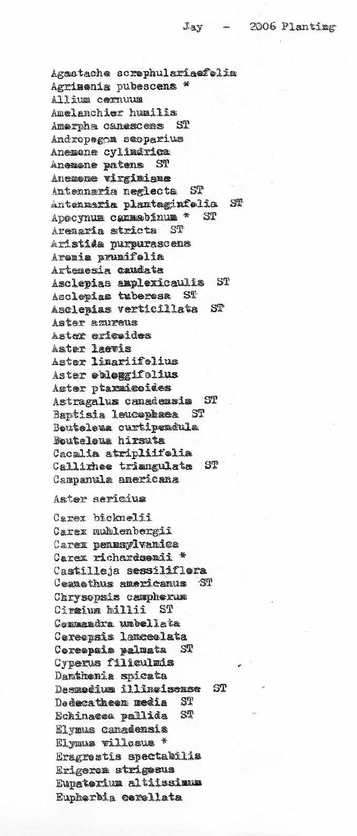Agastache screphulariaefolia Agrimenia pubescens \* Allium cernuum Amelanchier humilis Amerpha canescens ST Andropegon scoparius Anemane cylindrica Anemane patens ST Anemame virginiane Antennaria neglecta ST Antennaria plantaginfolia ST Apecynum cannabinum \* ST Aremaria stricta  $ST$ Aristida purpurascena Arenia prunifelia Artemesia caudata Asclepias amplexicaulis ST<sub>1</sub> Asclepias tuberesa ST Asclepias verticillata ST Aster azureus Aster ericaides Aster laevis Aster linariifelius Aster obloggifolius Aster ptarmicoides Astragalus canadensis  $ST$ Baptisia leucephaea  $S_{T}$ Beuteleua curtipendula Boutelous hirsuta Cacalia atripliffelia Callirhee triangulata ST Campanula americana

#### Aster sericius

Carex bicknelii Carex nublenbergii Carex pennsylvanica Carex richardsonii \* Castilleja sessiliflera Ceanathus americanus ST Chrysopsis campherum Ciraium hillii ST Commandra umbellata Cereepsis lanceelata Coreepsis palmata ST Cyperus filiculmis Damthenia spicata Desmodium illinoisense ST ST Dedecatheem media ST Echinacea pallida Elymus canadensis Elymus villosus \* Eragrestis spectabilis Erigeren strigesus Eunaterium altiissimum Eupherbia cerellata

#### $J_3y$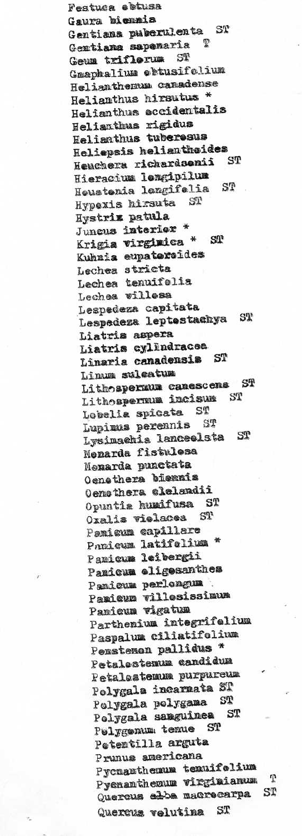Festues obtusa Gaura biennis Gentiana puberulenta ST Φ Gentiana sapenaria Geum triflerum  $ST$ Gmaphalium ebtusifolium Helianthemum canadense Helianthus hirsutus \* Helianthus eccidentalis Helianthus rigidus Helianthus tuberesus Heliapsis helianthoides Heuchera richardsenii ST Hieracium lengipilum Houstenia lengifelia ST Hypexis hirsuta ST Hystrix patula Juncus interior \* Krigia virginica \*  $S1$ Kuhnia eupatereides Lechea stricta Lechea tenuifolia Lechea willess Lespedeza capitata Lespedeza leptostachya ST Liatris aspera Liatris cylindracea Linaria canadensis ST Linum suleatum Lithospermum canescens ST ST Lithospermum incisum Lobelia spicata ST ST Lupinus perennis ST Lysimachia lanceolsta Monarda fistulesa Menarda punctata Oenethera biennis Oenethera clelandii Opuntia humifusa ST  $52$ Oxalis vielacea Pamigum capillare Panicum latifolium \* Pamicum leibergii Panicum eligesanthes Panicum perlongum . Pamieum villosissimum Pamieum vigatum Parthenium integrifelium Paspalum ciliatifolium Pensteman pallidus \* Petalestemum candidum Petalestemum purpureum Polygala incarnata ST  $\mathbb{S}\mathbb{T}$ Polygala polygama Polygala sanguinea ST Pelygenum tenue ST Petentilla arguta Prunus americana Pycnamthemum temuifelium Pyenamthemum virginianum T Quercus alba macrocarpa ST ST Quercus velutina